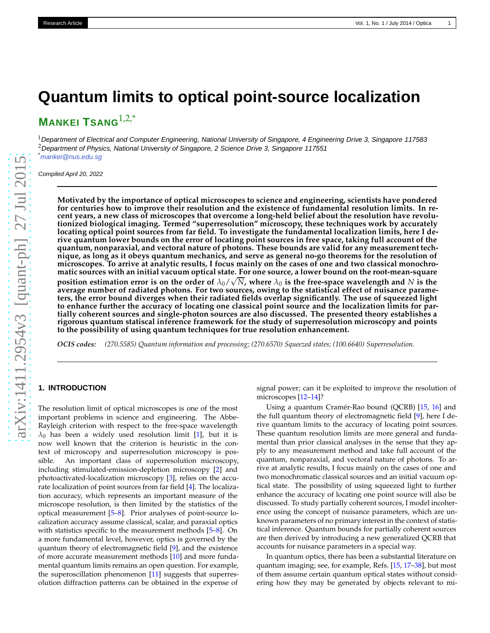# **Quantum limits to optical point-source localization**

**MANKEI TSANG**1,2,\*

 $1$ Department of Electrical and Computer Engineering, National University of Singapore, 4 Engineering Drive 3, Singapore 117583 <sup>2</sup> Department of Physics, National University of Singapore, 2 Science Drive 3, Singapore 117551 \*<mankei@nus.edu.sg>

Compiled April 20, 2022

**Motivated by the importance of optical microscopes to science and engineering, scientists have pondered for centuries how to improve their resolution and the existence of fundamental resolution limits. In recent years, a new class of microscopes that overcome a long-held belief about the resolution have revolutionized biological imaging. Termed "superresolution" microscopy, these techniques work by accurately locating optical point sources from far field. To investigate the fundamental localization limits, here I derive quantum lower bounds on the error of locating point sources in free space, taking full account of the quantum, nonparaxial, and vectoral nature of photons. These bounds are valid for any measurement technique, as long as it obeys quantum mechanics, and serve as general no-go theorems for the resolution of microscopes. To arrive at analytic results, I focus mainly on the cases of one and two classical monochromatic sources with an initial vacuum optical state. For one source, a lower bound on the root-mean-square position estimation error is on the order of**  $\lambda_0 / \sqrt{N}$ , where  $\lambda_0$  is the free-space wavelength and  $N$  is the **average number of radiated photons. For two sources, owing to the statistical effect of nuisance parameters, the error bound diverges when their radiated fields overlap significantly. The use of squeezed light to enhance further the accuracy of locating one classical point source and the localization limits for partially coherent sources and single-photon sources are also discussed. The presented theory establishes a rigorous quantum statiscal inference framework for the study of superresolution microscopy and points to the possibility of using quantum techniques for true resolution enhancement.**

*OCIS codes: (270.5585) Quantum information and processing; (270.6570) Squeezed states; (100.6640) Superresolution.*

# **1. INTRODUCTION**

The resolution limit of optical microscopes is one of the mos t important problems in science and engineering. The Abbe-Rayleigh criterion with respect to the free-space wavelength  $\lambda_0$  has been a widely used resolution limit [\[1\]](#page-6-0), but it is now well known that the criterion is heuristic in the context of microscopy and superresolution microscopy is possible. An important class of superresolution microscopy, including stimulated-emission-depletion microscopy [ [2](#page-6-1)] and photoactivated-localization microscopy [ [3\]](#page-6-2), relies on the accurate localization of point sources from far field [\[4](#page-6-3)]. The localization accuracy, which represents an important measure of the microscope resolution, is then limited by the statistics of the optical measurement [ [5](#page-6-4) – [8\]](#page-6-5). Prior analyses of point-source localization accuracy assume classical, scalar, and paraxial optics with statistics specific to the measurement methods [[5](#page-6-4)–[8\]](#page-6-5). On a more fundamental level, however, optics is governed by the quantum theory of electromagnetic field [ [9\]](#page-7-0), and the existence of more accurate measurement methods [\[10](#page-7-1)] and more fundamental quantum limits remains an open question. For example, the superoscillation phenomenon [\[11](#page-7-2)] suggests that superresolution diffraction patterns can be obtained in the expense of

signal power; can it be exploited to improve the resolution o f microscopes [\[12](#page-7-3) [–14](#page-7-4)]?

Using a quantum Cramér-Rao bound (QCRB) [\[15](#page-7-5) , [16\]](#page-7-6) and the full quantum theory of electromagnetic field [ [9\]](#page-7-0), here I derive quantum limits to the accuracy of locating point sources. These quantum resolution limits are more general and fundamental than prior classical analyses in the sense that they apply to any measurement method and take full account of the quantum, nonparaxial, and vectoral nature of photons. To ar rive at analytic results, I focus mainly on the cases of one an d two monochromatic classical sources and an initial vacuum optical state. The possibility of using squeezed light to further enhance the accuracy of locating one point source will also b e discussed. To study partially coherent sources, I model incoherence using the concept of nuisance parameters, which are unknown parameters of no primary interest in the context of statistical inference. Quantum bounds for partially coherent sources are then derived by introducing a new generalized QCRB that accounts for nuisance parameters in a special way.

In quantum optics, there has been a substantial literature o n quantum imaging; see, for example, Refs. [\[15](#page-7-5), [17](#page-7-7)[–38](#page-7-8)], but most of them assume certain quantum optical states without considering how they may be generated by objects relevant to mi-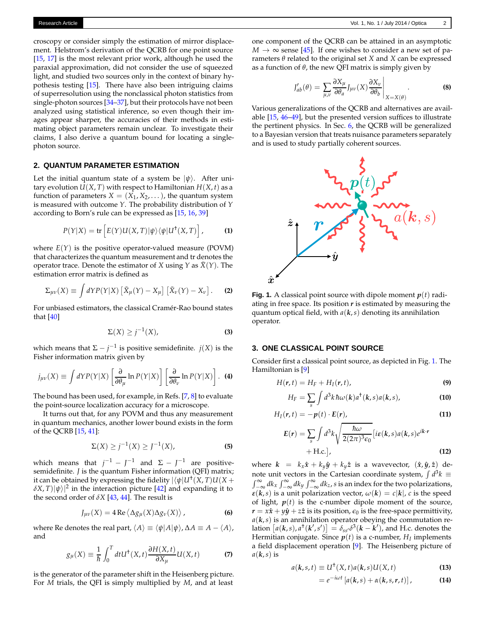croscopy or consider simply the estimation of mirror displacement. Helstrom's derivation of the QCRB for one point source [\[15,](#page-7-5) [17\]](#page-7-7) is the most relevant prior work, although he used the paraxial approximation, did not consider the use of squeezed light, and studied two sources only in the context of binary hypothesis testing [\[15](#page-7-5)]. There have also been intriguing claims of superresolution using the nonclassical photon statistics from single-photon sources [\[34](#page-7-9)[–37](#page-7-10)], but their protocols have not been analyzed using statistical inference, so even though their images appear sharper, the accuracies of their methods in estimating object parameters remain unclear. To investigate their claims, I also derive a quantum bound for locating a singlephoton source.

## **2. QUANTUM PARAMETER ESTIMATION**

Let the initial quantum state of a system be  $|\psi\rangle$ . After unitary evolution  $U(X, T)$  with respect to Hamiltonian  $H(X, t)$  as a function of parameters  $X = (X_1, X_2, ...)$ , the quantum system is measured with outcome *Y*. The probability distribution of *Y* according to Born's rule can be expressed as [\[15](#page-7-5), [16,](#page-7-6) [39](#page-7-11)]

$$
P(Y|X) = \text{tr}\left[E(Y)U(X,T)|\psi\rangle\langle\psi|U^{\dagger}(X,T)\right], \quad (1)
$$

where  $E(Y)$  is the positive operator-valued measure (POVM) that characterizes the quantum measurement and tr denotes the operator trace. Denote the estimator of *X* using *Y* as  $\tilde{X}(Y)$ . The estimation error matrix is defined as

$$
\Sigma_{\mu\nu}(X) \equiv \int dY P(Y|X) \left[ \tilde{X}_{\mu}(Y) - X_{\mu} \right] \left[ \tilde{X}_{\nu}(Y) - X_{\nu} \right]. \tag{2}
$$

For unbiased estimators, the classical Cramér-Rao bound states that [\[40\]](#page-7-12)

$$
\Sigma(X) \ge j^{-1}(X), \tag{3}
$$

which means that  $\Sigma - j^{-1}$  is positive semidefinite. *j*(*X*) is the Fisher information matrix given by

$$
j_{\mu\nu}(X) \equiv \int dY P(Y|X) \left[ \frac{\partial}{\partial \theta_{\mu}} \ln P(Y|X) \right] \left[ \frac{\partial}{\partial \theta_{\nu}} \ln P(Y|X) \right]. \tag{4}
$$

The bound has been used, for example, in Refs. [\[7](#page-6-6), [8](#page-6-5)] to evaluate the point-source localization accuracy for a microscope.

It turns out that, for any POVM and thus any measurement in quantum mechanics, another lower bound exists in the form of the QCRB [\[15,](#page-7-5) [41](#page-7-13)]:

$$
\Sigma(X) \ge j^{-1}(X) \ge j^{-1}(X),
$$
 (5)

which means that  $j^{-1} - J^{-1}$  and  $\Sigma - J^{-1}$  are positivesemidefinite. *J* is the quantum Fisher information (QFI) matrix; it can be obtained by expressing the fidelity  $|\langle \psi | U^{\dagger}(X, T) U(X +$  $(\delta X, T)|\psi\rangle|^2$  in the interaction picture [\[42\]](#page-7-14) and expanding it to the second order of  $\delta X$  [\[43,](#page-7-15) [44](#page-7-16)]. The result is

$$
J_{\mu\nu}(X) = 4 \operatorname{Re} \langle \Delta g_{\mu}(X) \Delta g_{\nu}(X) \rangle, \tag{6}
$$

where Re denotes the real part,  $\langle A \rangle \equiv \langle \psi | A | \psi \rangle$ ,  $\Delta A \equiv A - \langle A \rangle$ , and

$$
g_{\mu}(X) \equiv \frac{1}{\hbar} \int_0^T dt U^{\dagger}(X, t) \frac{\partial H(X, t)}{\partial X_{\mu}} U(X, t)
$$
 (7)

is the generator of the parameter shift in the Heisenberg picture. For *M* trials, the QFI is simply multiplied by *M*, and at least

one component of the QCRB can be attained in an asymptotic  $M \rightarrow \infty$  sense [\[45\]](#page-7-17). If one wishes to consider a new set of parameters *θ* related to the original set *X* and *X* can be expressed as a function of  $\theta$ , the new QFI matrix is simply given by

$$
J'_{ab}(\theta) = \sum_{\mu,\nu} \frac{\partial X_{\mu}}{\partial \theta_a} J_{\mu\nu}(X) \frac{\partial X_{\nu}}{\partial \theta_b} \bigg|_{X=X(\theta)}.
$$
 (8)

Various generalizations of the QCRB and alternatives are available [\[15,](#page-7-5) [46](#page-7-18)[–49](#page-7-19)], but the presented version suffices to illustrate the pertinent physics. In Sec. [6,](#page-4-0) the QCRB will be generalized to a Bayesian version that treats nuisance parameters separately and is used to study partially coherent sources.

<span id="page-1-0"></span>

<span id="page-1-1"></span>**Fig. 1.** A classical point source with dipole moment  $p(t)$  radiating in free space. Its position *r* is estimated by measuring the quantum optical field, with *a*(*k*,*s*) denoting its annihilation operator.

# <span id="page-1-2"></span>**3. ONE CLASSICAL POINT SOURCE**

Consider first a classical point source, as depicted in Fig. [1.](#page-1-0) The Hamiltonian is [\[9\]](#page-7-0)

$$
H(\mathbf{r},t)=H_F+H_I(\mathbf{r},t),\qquad \qquad (9)
$$

$$
H_F = \sum_{s} \int d^3k \,\hbar \omega(k) a^{\dagger}(k, s) a(k, s), \tag{10}
$$

$$
H_I(r,t) = -p(t) \cdot E(r), \qquad (11)
$$

$$
E(r) = \sum_{s} \int d^{3}k \sqrt{\frac{\hbar \omega}{2(2\pi)^{3}\epsilon_{0}}} [i\varepsilon(k,s)a(k,s)e^{ik\cdot r} + \text{H.c.}],
$$
\n(12)

where  $k = k_x \hat{x} + k_y \hat{y} + k_y \hat{z}$  is a wavevector,  $(\hat{x}, \hat{y}, \hat{z})$  denote unit vectors in the Cartesian coordinate system,  $\int d^3$ note unit vectors in the Cartesian coordinate system,  $\int d^3k$  ≡  $\int_{-\infty}^{\infty} dk_x \int_{-\infty}^{\infty} dk_y \int_{-\infty}^{\infty} dk_z$ , *s* is an index for the two polarizations, *ε*(*k*,*s*) is a unit polarization vector,  $\omega(k) = c|k|$ , *c* is the speed of light,  $p(t)$  is the c-number dipole moment of the source,  $r = x\hat{x} + y\hat{y} + z\hat{z}$  is its position,  $\epsilon_0$  is the free-space permittivity,  $a(k, s)$  is an annihilation operator obeying the commutation relation  $[a(k, s), a^{\dagger}(k', s')] = \delta_{ss'}\delta^3(k - k'),$  and H.c. denotes the Hermitian conjugate. Since *p*(*t*) is a c-number, *H<sup>I</sup>* implements a field displacement operation [\[9](#page-7-0)]. The Heisenberg picture of  $a(k, s)$  is

$$
a(k,s,t) \equiv U^{\dagger}(X,t)a(k,s)U(X,t)
$$
 (13)

$$
= e^{-i\omega t} \left[ a(k,s) + \alpha(k,s,r,t) \right], \tag{14}
$$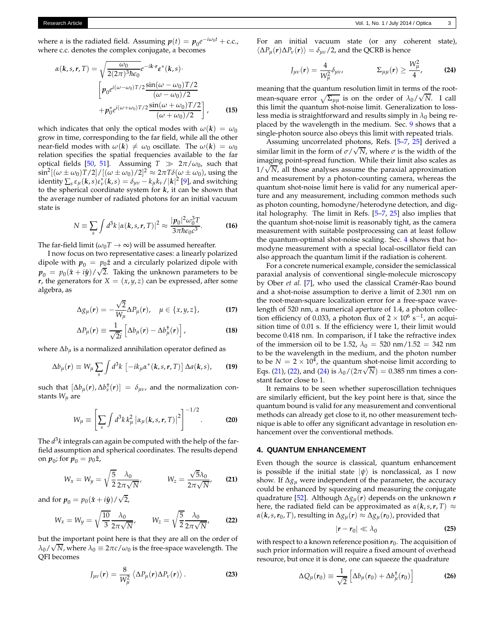where *α* is the radiated field. Assuming  $p(t) = p_0 e^{-i\omega_0 t} + \text{c.c.}$ , where c.c. denotes the complex conjugate, *α* becomes

$$
\alpha(k,s,r,T) = \sqrt{\frac{\omega_0}{2(2\pi)^3 \hbar \epsilon_0}} e^{-ik \cdot r} \varepsilon^*(k,s) \cdot
$$

$$
\left[ p_0 e^{i(\omega - \omega_0)T/2} \frac{\sin((\omega - \omega_0)T/2)}{(\omega - \omega_0)/2} + p_0^* e^{i(\omega + \omega_0)T/2} \frac{\sin((\omega + \omega_0)T/2)}{(\omega + \omega_0)/2} \right],
$$
(15)

which indicates that only the optical modes with  $\omega(\mathbf{k}) = \omega_0$ grow in time, corresponding to the far field, while all the other near-field modes with  $\omega(k) \neq \omega_0$  oscillate. The  $\omega(k) = \omega_0$ relation specifies the spatial frequencies available to the far optical fields [\[50](#page-7-20), [51](#page-7-21)]. Assuming  $T \gg 2\pi/\omega_0$ , such that  $\sin^2[(\omega \pm \omega_0)T/2]/[(\omega \pm \omega_0)/2]^2 \approx 2\pi T\delta(\omega \pm \omega_0)$ , using the identity  $\sum_s \varepsilon_\mu(\mathbf{k},s) \varepsilon_v^*(\mathbf{k},s) = \delta_{\mu\nu} - k_\mu k_\nu / |\mathbf{k}|^2$  [\[9\]](#page-7-0), and switching to the spherical coordinate system for *k*, it can be shown that the average number of radiated photons for an initial vacuum state is

$$
N \equiv \sum_{s} \int d^3k \left| \alpha(k, s, r, T) \right|^2 \approx \frac{|p_0|^2 \omega_0^3 T}{3 \pi \hbar \epsilon_0 c^3}.
$$
 (16)

The far-field limit ( $\omega_0 T \rightarrow \infty$ ) will be assumed hereafter.

I now focus on two representative cases: a linearly polarized dipole with  $p_0 = p_0 \hat{z}$  and a circularly polarized dipole with  $p_0 = p_0(\hat{x} + i\hat{y}) / \sqrt{2}$ . Taking the unknown parameters to be *r*, the generators for *X* =  $(x, y, z)$  can be expressed, after some algebra, as

$$
\Delta g_{\mu}(\mathbf{r}) = -\frac{\sqrt{2}}{W_{\mu}} \Delta P_{\mu}(\mathbf{r}), \quad \mu \in \{x, y, z\},
$$
 (17)

$$
\Delta P_{\mu}(\boldsymbol{r}) \equiv \frac{1}{\sqrt{2}i} \left[ \Delta b_{\mu}(\boldsymbol{r}) - \Delta b_{\mu}^{\dagger}(\boldsymbol{r}) \right], \tag{18}
$$

where ∆*b<sup>µ</sup>* is a normalized annihilation operator defined as

$$
\Delta b_{\mu}(r) \equiv W_{\mu} \sum_{s} \int d^{3}k \, \left[ -ik_{\mu} \alpha^{*}(\mathbf{k}, s, r, T) \right] \Delta a(\mathbf{k}, s), \qquad (19)
$$

such that  $[\Delta b_{\mu}(r), \Delta b_{\nu}^{\dagger}(r)] = \delta_{\mu\nu}$ , and the normalization constants *Wµ* are

$$
W_{\mu} \equiv \left[ \sum_{s} \int d^{3}k \, k_{\mu}^{2} \left| \alpha_{\mu}(\mathbf{k}, s, \mathbf{r}, T) \right|^{2} \right]^{-1/2}.
$$
 (20)

The *d* 3 *k* integrals can again be computed with the help of the farfield assumption and spherical coordinates. The results depend on  $p_0$ ; for  $p_0 = p_0 \hat{z}$ ,

$$
W_x = W_y = \sqrt{\frac{5}{2}} \frac{\lambda_0}{2\pi\sqrt{N}}, \qquad W_z = \frac{\sqrt{5}\lambda_0}{2\pi\sqrt{N}}, \qquad \textbf{(21)}
$$

and for  $p_0 = p_0(\hat{x} + i\hat{y}) / \sqrt{2}$ ,

$$
W_x = W_y = \sqrt{\frac{10}{3}} \frac{\lambda_0}{2\pi\sqrt{N}}, \qquad W_z = \sqrt{\frac{5}{2}} \frac{\lambda_0}{2\pi\sqrt{N}}, \qquad \textbf{(22)}
$$

but the important point here is that they are all on the order of  $\lambda_0/\sqrt{N}$ , where  $\lambda_0 \equiv 2\pi c/\omega_0$  is the free-space wavelength. The QFI becomes

$$
J_{\mu\nu}(\boldsymbol{r}) = \frac{8}{W_{\mu}^2} \left\langle \Delta P_{\mu}(\boldsymbol{r}) \Delta P_{\nu}(\boldsymbol{r}) \right\rangle.
$$
 (23)

For an initial vacuum state (or any coherent state),  $\langle \Delta P_{\mu}(\mathbf{r}) \Delta P_{\nu}(\mathbf{r}) \rangle = \delta_{\mu\nu}/2$ , and the QCRB is hence

<span id="page-2-3"></span>
$$
J_{\mu\nu}(r) = \frac{4}{W_{\mu}^2} \delta_{\mu\nu}, \qquad \qquad \Sigma_{\mu\mu}(r) \geq \frac{W_{\mu}^2}{4}, \qquad \qquad (24)
$$

meaning that the quantum resolution limit in terms of the rootmean-square error  $\sqrt{\Sigma_{\mu\mu}}$  is on the order of  $\lambda_0/\sqrt{N}$ . I call this limit the quantum shot-noise limit. Generalization to lossless media is straightforward and results simply in  $\lambda_0$  being replaced by the wavelength in the medium. Sec. [9](#page-5-0) shows that a single-photon source also obeys this limit with repeated trials.

Assuming uncorrelated photons, Refs. [\[5](#page-6-4)[–7,](#page-6-6) [25](#page-7-22)] derived a similar limit in the form of  $\sigma/\sqrt{N}$ , where  $\sigma$  is the width of the imaging point-spread function. While their limit also scales as  $1/\sqrt{N}$ , all those analyses assume the paraxial approximation and measurement by a photon-counting camera, whereas the quantum shot-noise limit here is valid for any numerical aperture and any measurement, including common methods such as photon counting, homodyne/heterodyne detection, and digital holography. The limit in Refs. [\[5](#page-6-4)[–7,](#page-6-6) [25](#page-7-22)] also implies that the quantum shot-noise limit is reasonably tight, as the camera measurement with suitable postprocessing can at least follow the quantum-optimal shot-noise scaling. Sec. [4](#page-2-0) shows that homodyne measurement with a special local-oscillator field can also approach the quantum limit if the radiation is coherent.

<span id="page-2-4"></span>For a concrete numerical example, consider the semiclassical paraxial analysis of conventional single-molecule microscopy by Ober *et al.* [\[7\]](#page-6-6), who used the classical Cramér-Rao bound and a shot-noise assumption to derive a limit of 2.301 nm on the root-mean-square localization error for a free-space wavelength of 520 nm, a numerical aperture of 1.4, a photon collection efficiency of 0.033, a photon flux of  $2 \times 10^6$  s<sup>-1</sup>, an acquisition time of 0.01 s. If the efficiency were 1, their limit would become 0.418 nm. In comparison, if I take the refractive index of the immersion oil to be 1.52,  $\lambda_0 = 520 \text{ nm}/1.52 = 342 \text{ nm}$ to be the wavelength in the medium, and the photon number to be  $N = 2 \times 10^4$ , the quantum shot-noise limit according to Eqs. [\(21\)](#page-2-1), [\(22\)](#page-2-2), and [\(24\)](#page-2-3) is  $\lambda_0/(2\pi\sqrt{N}) = 0.385$  nm times a constant factor close to 1.

<span id="page-2-5"></span>It remains to be seen whether superoscillation techniques are similarly efficient, but the key point here is that, since the quantum bound is valid for any measurement and conventional methods can already get close to it, no other measurement technique is able to offer any significant advantage in resolution enhancement over the conventional methods.

## <span id="page-2-0"></span>**4. QUANTUM ENHANCEMENT**

<span id="page-2-1"></span>Even though the source is classical, quantum enhancement is possible if the initial state  $|\psi\rangle$  is nonclassical, as I now show. If ∆*g<sup>µ</sup>* were independent of the parameter, the accuracy could be enhanced by squeezing and measuring the conjugate quadrature [\[52\]](#page-8-0). Although ∆*gµ*(*r*) depends on the unknown *r* here, the radiated field can be approximated as  $\alpha(k, s, r, T) \approx$  $\alpha(k, s, r_0, T)$ , resulting in  $\Delta g_u(r) \approx \Delta g_u(r_0)$ , provided that

$$
|\boldsymbol{r} - \boldsymbol{r}_0| \ll \lambda_0 \tag{25}
$$

<span id="page-2-2"></span>with respect to a known reference position  $r_0$ . The acquisition of such prior information will require a fixed amount of overhead resource, but once it is done, one can squeeze the quadrature

$$
\Delta Q_{\mu}(r_0) \equiv \frac{1}{\sqrt{2}} \left[ \Delta b_{\mu}(r_0) + \Delta b_{\mu}^{\dagger}(r_0) \right]
$$
 (26)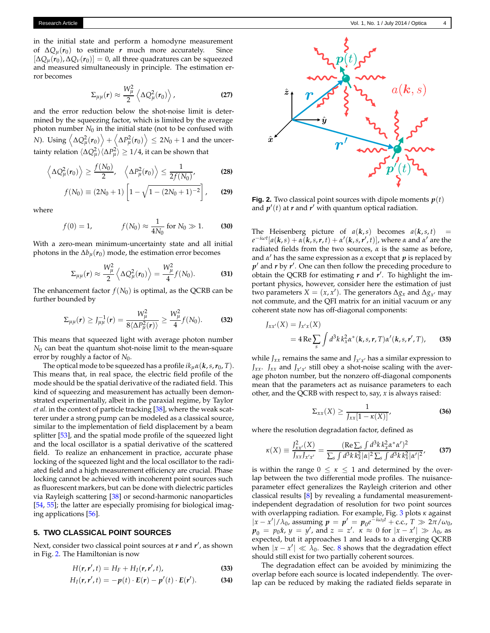in the initial state and perform a homodyne measurement of  $\Delta Q$ <sup> $\mu$ </sup>( $r_0$ ) to estimate *r* much more accurately. Since  $[\Delta Q_{\mu}(r_0), \Delta Q_{\nu}(r_0)] = 0$ , all three quadratures can be squeezed and measured simultaneously in principle. The estimation error becomes

$$
\Sigma_{\mu\mu}(r) \approx \frac{W_{\mu}^2}{2} \left\langle \Delta Q_{\mu}^2(r_0) \right\rangle, \tag{27}
$$

and the error reduction below the shot-noise limit is determined by the squeezing factor, which is limited by the average photon number  $N_0$  in the initial state (not to be confused with *N*). Using  $\left\langle \Delta Q_{\mu}^{2}(r_{0}) \right\rangle + \left\langle \Delta P_{\mu}^{2}(r_{0}) \right\rangle \leq 2N_{0} + 1$  and the uncertainty relation  $\langle \Delta Q_\mu^2 \rangle \langle \Delta P_\mu^2 \rangle \geq 1/4$ , it can be shown that

$$
\left\langle \Delta Q_{\mu}^2(r_0)\right\rangle \geq \frac{f(N_0)}{2}, \quad \left\langle \Delta P_{\mu}^2(r_0)\right\rangle \leq \frac{1}{2f(N_0)},
$$
 (28)

$$
f(N_0) \equiv (2N_0 + 1) \left[ 1 - \sqrt{1 - (2N_0 + 1)^{-2}} \right], \qquad (29)
$$

where

$$
f(0) = 1,
$$
  $f(N_0) \approx \frac{1}{4N_0}$  for  $N_0 \gg 1.$  (30)

With a zero-mean minimum-uncertainty state and all initial photons in the  $\Delta b$ <sup>*µ*</sup>( $r$ <sub>0</sub>) mode, the estimation error becomes

$$
\Sigma_{\mu\mu}(\boldsymbol{r}) \approx \frac{W_{\mu}^2}{2} \left\langle \Delta Q_{\mu}^2(\boldsymbol{r}_0) \right\rangle = \frac{W_{\mu}^2}{4} f(N_0). \tag{31}
$$

The enhancement factor  $f(N_0)$  is optimal, as the QCRB can be further bounded by

$$
\Sigma_{\mu\mu}(r) \ge J_{\mu\mu}^{-1}(r) = \frac{W_{\mu}^2}{8\langle \Delta P_{\mu}^2(r) \rangle} \ge \frac{W_{\mu}^2}{4}f(N_0).
$$
 (32)

This means that squeezed light with average photon number *N*<sup>0</sup> can beat the quantum shot-noise limit to the mean-square error by roughly a factor of *N*<sub>0</sub>.

The optical mode to be squeezed has a profile  $ik<sub>u</sub>α(k, s, r<sub>0</sub>, T)$ . This means that, in real space, the electric field profile of the mode should be the spatial derivative of the radiated field. This kind of squeezing and measurement has actually been demonstrated experimentally, albeit in the paraxial regime, by Taylor *et al.* in the context of particle tracking [\[38](#page-7-8)], where the weak scatterer under a strong pump can be modeled as a classical source, similar to the implementation of field displacement by a beam splitter [\[53](#page-8-1)], and the spatial mode profile of the squeezed light and the local oscillator is a spatial derivative of the scattered field. To realize an enhancement in practice, accurate phase locking of the squeezed light and the local oscillator to the radiated field and a high measurement efficiency are crucial. Phase locking cannot be achieved with incoherent point sources such as fluorescent markers, but can be done with dielectric particles via Rayleigh scattering [\[38\]](#page-7-8) or second-harmonic nanoparticles [\[54,](#page-8-2) [55\]](#page-8-3); the latter are especially promising for biological imaging applications [\[56](#page-8-4)].

# <span id="page-3-1"></span>**5. TWO CLASSICAL POINT SOURCES**

Next, consider two classical point sources at *r* and *r* ′ , as shown in Fig. [2.](#page-3-0) The Hamiltonian is now

$$
H(\mathbf{r},\mathbf{r}',t)=H_F+H_I(\mathbf{r},\mathbf{r}',t),\qquad(33)
$$

$$
H_I(\boldsymbol{r},\boldsymbol{r}',t)=-\boldsymbol{p}(t)\cdot\boldsymbol{E}(\boldsymbol{r})-\boldsymbol{p}'(t)\cdot\boldsymbol{E}(\boldsymbol{r}').
$$
 (34)

<span id="page-3-0"></span>

**Fig. 2.** Two classical point sources with dipole moments  $p(t)$ and  $p'(t)$  at  $r$  and  $r'$  with quantum optical radiation.

The Heisenberg picture of  $a(k, s)$  becomes  $a(k, s, t)$  =  $e^{-i\omega t}[a(\mathbf{k},s)+\alpha(\mathbf{k},s,\mathbf{r},t)+\alpha'(\mathbf{k},s,\mathbf{r}',t)]$ , where *α* and *α*<sup>'</sup> are the radiated fields from the two sources, *α* is the same as before, and *α* ′ has the same expression as *α* except that *p* is replaced by *p* ′ and *r* by *r* ′ . One can then follow the preceding procedure to obtain the QCRB for estimating *r* and *r* ′ . To highlight the important physics, however, consider here the estimation of just two parameters  $X = (x, x')$ . The generators  $\Delta g_x$  and  $\Delta g_{x'}$  may not commute, and the QFI matrix for an initial vacuum or any coherent state now has off-diagonal components:

$$
J_{xx'}(X) = J_{x'x}(X)
$$
  
= 4 Re  $\sum_{s} \int d^3k k_x^2 \alpha^*(k, s, r, T) \alpha'(k, s, r', T),$  (35)

while  $J_{xx}$  remains the same and  $J_{x'x'}$  has a similar expression to *J*<sub>*xx*</sub>. *J<sub>xx</sub>* and *J*<sub>*x'x'*</sub> still obey a shot-noise scaling with the average photon number, but the nonzero off-diagonal components mean that the parameters act as nuisance parameters to each other, and the QCRB with respect to, say, *x* is always raised:

$$
\Sigma_{xx}(X) \ge \frac{1}{J_{xx}[1-\kappa(X)]},
$$
\n(36)

where the resolution degradation factor, defined as

$$
\kappa(X) \equiv \frac{J_{xx'}^2(X)}{J_{xx}J_{x'x'}} = \frac{(\text{Re}\sum_{s} \int d^3k \, k_x^2 \alpha^* \alpha')^2}{\sum_{s} \int d^3k \, k_x^2 |\alpha|^2 \sum_{s} \int d^3k \, k_x^2 |\alpha'|^2},\tag{37}
$$

is within the range  $0 \leq \kappa \leq 1$  and determined by the overlap between the two differential mode profiles. The nuisanceparameter effect generalizes the Rayleigh criterion and other classical results [\[8](#page-6-5)] by revealing a fundamental measurementindependent degradation of resolution for two point sources with overlapping radiation. For example, Fig. [3](#page-4-1) plots *κ* against  $|x - x'| / λ_0$ , assuming  $p = p' = p_0 e^{-iω_0 t} + \text{c.c.}$ ,  $T \gg 2\pi / ω_0$ ,  $p_0 = p_0 \hat{x}$ ,  $y = y'$ , and  $z = z'$ .  $\kappa \approx 0$  for  $|x - x'| \gg \lambda_0$ , as expected, but it approaches 1 and leads to a diverging QCRB when  $|x - x'| \ll \lambda_0$ . Sec. [8](#page-5-1) shows that the degradation effect should still exist for two partially coherent sources.

The degradation effect can be avoided by minimizing the overlap before each source is located independently. The overlap can be reduced by making the radiated fields separate in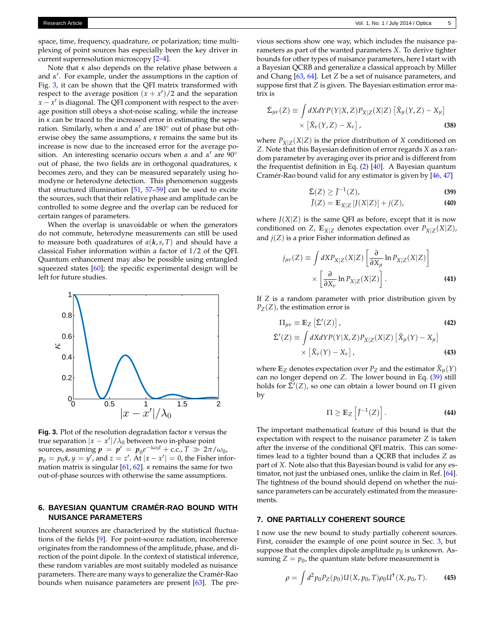space, time, frequency, quadrature, or polarization; time multiplexing of point sources has especially been the key driver in current superresolution microscopy [\[2](#page-6-1)[–4](#page-6-3)].

Note that *κ* also depends on the relative phase between *α* and *α* ′ . For example, under the assumptions in the caption of Fig. [3,](#page-4-1) it can be shown that the QFI matrix transformed with respect to the average position  $(x + x')/2$  and the separation  $x - x'$  is diagonal. The QFI component with respect to the average position still obeys a shot-noise scaling, while the increase in *κ* can be traced to the increased error in estimating the separation. Similarly, when *α* and *α* ′ are 180◦ out of phase but otherwise obey the same assumptions, *κ* remains the same but its increase is now due to the increased error for the average position. An interesting scenario occurs when *α* and *α* ′ are 90◦ out of phase, the two fields are in orthogonal quadratures, *κ* becomes zero, and they can be measured separately using homodyne or heterodyne detection. This phenomenon suggests that structured illumination [\[51,](#page-7-21) [57](#page-8-5)[–59](#page-8-6)] can be used to excite the sources, such that their relative phase and amplitude can be controlled to some degree and the overlap can be reduced for certain ranges of parameters.

When the overlap is unavoidable or when the generators do not commute, heterodyne measurements can still be used to measure both quadratures of  $a(k, s, T)$  and should have a classical Fisher information within a factor of 1/2 of the QFI. Quantum enhancement may also be possible using entangled squeezed states [\[60\]](#page-8-7); the specific experimental design will be left for future studies.

<span id="page-4-1"></span>

**Fig. 3.** Plot of the resolution degradation factor *κ* versus the true separation  $|x - x'| / \lambda_0$  between two in-phase point sources, assuming  $p = p' = p_0 e^{-i\omega_0 t} + \text{c.c.}$ ,  $T \gg 2\pi/\omega_0$ ,  $p_0 = p_0 \hat{x}$ ,  $y = y'$ , and  $z = z'$ . At  $|x - x'| = 0$ , the Fisher information matrix is singular [\[61](#page-8-8), [62](#page-8-9)]. *κ* remains the same for two out-of-phase sources with otherwise the same assumptions.

# <span id="page-4-0"></span>**6. BAYESIAN QUANTUM CRAMÉR-RAO BOUND WITH NUISANCE PARAMETERS**

Incoherent sources are characterized by the statistical fluctuations of the fields [\[9\]](#page-7-0). For point-source radiation, incoherence originates from the randomness of the amplitude, phase, and direction of the point dipole. In the context of statistical inference, these random variables are most suitably modeled as nuisance parameters. There are many ways to generalize the Cramér-Rao bounds when nuisance parameters are present [\[63\]](#page-8-10). The pre-

vious sections show one way, which includes the nuisance parameters as part of the wanted parameters *X*. To derive tighter bounds for other types of nuisance parameters, here I start with a Bayesian QCRB and generalize a classical approach by Miller and Chang [\[63](#page-8-10), [64\]](#page-8-11). Let *Z* be a set of nuisance parameters, and suppose first that *Z* is given. The Bayesian estimation error matrix is

$$
\begin{aligned} \Sigma_{\mu\nu}(Z) &\equiv \int dX dY P(Y|X,Z) P_{X|Z}(X|Z) \left[ \tilde{X}_{\mu}(Y,Z) - X_{\mu} \right] \\ &\times \left[ \tilde{X}_{\nu}(Y,Z) - X_{\nu} \right], \end{aligned} \tag{38}
$$

where  $P_{X|Z}(X|Z)$  is the prior distribution of *X* conditioned on *Z*. Note that this Bayesian definition of error regards *X* as a random parameter by averaging over its prior and is different from the frequentist definition in Eq. [\(2\)](#page-1-1) [\[40](#page-7-12)]. A Bayesian quantum Cramér-Rao bound valid for any estimator is given by [\[46,](#page-7-18) [47](#page-7-23)]

<span id="page-4-2"></span>
$$
\bar{\Sigma}(Z) \ge \bar{J}^{-1}(Z),\tag{39}
$$

$$
\overline{J}(Z) = \mathbb{E}_{X|Z} \left[ J(X|Z) \right] + j(Z), \tag{40}
$$

where  $J(X|Z)$  is the same QFI as before, except that it is now conditioned on *Z*,  $\mathbb{E}_{X|Z}$  denotes expectation over  $P_{X|Z}(X|Z)$ , and  $j(Z)$  is a prior Fisher information defined as

$$
j_{\mu\nu}(Z) \equiv \int dX P_{X|Z}(X|Z) \left[ \frac{\partial}{\partial X_{\mu}} \ln P_{X|Z}(X|Z) \right] \times \left[ \frac{\partial}{\partial X_{\nu}} \ln P_{X|Z}(X|Z) \right].
$$
 (41)

If *Z* is a random parameter with prior distribution given by  $P_Z(Z)$ , the estimation error is

$$
\Pi_{\mu\nu} \equiv \mathbb{E}_Z \left[ \tilde{\Sigma}'(Z) \right],
$$
\n
$$
\tilde{\Sigma}'(Z) \equiv \int dX dY P(Y|X, Z) P_{X|Z}(X|Z) \left[ \tilde{X}_{\mu}(Y) - X_{\mu} \right]
$$
\n
$$
\times \left[ \tilde{X}_{\nu}(Y) - X_{\nu} \right],
$$
\n(43)

where  $\mathbb{E}_{Z}$  denotes expectation over  $P_{Z}$  and the estimator  $\tilde{X}_{\mu}(Y)$ can no longer depend on *Z*. The lower bound in Eq. [\(39\)](#page-4-2) still holds for  $\bar{\Sigma}'(Z)$ , so one can obtain a lower bound on  $\Pi$  given by

<span id="page-4-3"></span>
$$
\Pi \geq \mathbb{E}_Z \left[ J^{-1}(Z) \right]. \tag{44}
$$

The important mathematical feature of this bound is that the expectation with respect to the nuisance parameter *Z* is taken after the inverse of the conditional QFI matrix. This can sometimes lead to a tighter bound than a QCRB that includes *Z* as part of *X*. Note also that this Bayesian bound is valid for any estimator, not just the unbiased ones, unlike the claim in Ref. [\[64](#page-8-11)]. The tightness of the bound should depend on whether the nuisance parameters can be accurately estimated from the measurements.

#### **7. ONE PARTIALLY COHERENT SOURCE**

I now use the new bound to study partially coherent sources. First, consider the example of one point source in Sec. [3,](#page-1-2) but suppose that the complex dipole amplitude  $p_0$  is unknown. Assuming  $Z = p_0$ , the quantum state before measurement is

$$
\rho = \int d^2 p_0 P_Z(p_0) U(X, p_0, T) \rho_0 U^{\dagger}(X, p_0, T). \tag{45}
$$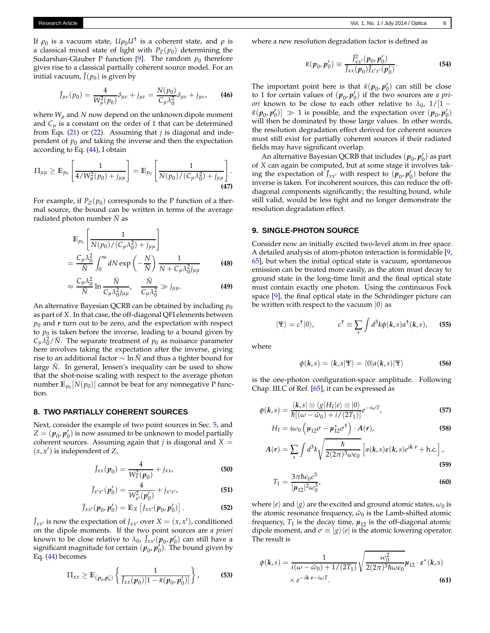If  $\rho_0$  is a vacuum state*,*  $U\rho_0U^\dagger$  is a coherent state, and  $\rho$  is a classical mixed state of light with  $P_Z(p_0)$  determining the Sudarshan-Glauber P function  $[9]$ . The random  $p_0$  therefore gives rise to a classical partially coherent source model. For an initial vacuum,  $\bar{J}(p_0)$  is given by

$$
\bar{J}_{\mu\nu}(p_0) = \frac{4}{W_{\mu}^2(p_0)} \delta_{\mu\nu} + j_{\mu\nu} = \frac{N(p_0)}{C_{\mu} \lambda_0^2} \delta_{\mu\nu} + j_{\mu\nu}, \qquad (46)
$$

where  $W_{\mu}$  and N now depend on the unknown dipole moment and  $C_u$  is a constant on the order of 1 that can be determined from Eqs. [\(21\)](#page-2-1) or [\(22\)](#page-2-2). Assuming that *j* is diagonal and independent of  $p_0$  and taking the inverse and then the expectation according to Eq. [\(44\)](#page-4-3), I obtain

$$
\Pi_{\mu\mu} \geq \mathbb{E}_{p_0} \left[ \frac{1}{4/W_{\mu}^2(p_0) + j_{\mu\mu}} \right] = \mathbb{E}_{p_0} \left[ \frac{1}{N(p_0)/(C_{\mu}\lambda_0^2) + j_{\mu\mu}} \right].
$$
\n(47)

For example, if  $P_Z(p_0)$  corresponds to the P function of a thermal source, the bound can be written in terms of the average radiated photon number  $\bar{N}$  as

$$
\mathbb{E}_{p_0} \left[ \frac{1}{N(p_0)/(C_\mu \lambda_0^2) + j_{\mu\mu}} \right]
$$
\n
$$
= \frac{C_\mu \lambda_0^2}{\bar{N}} \int_0^\infty dN \exp\left(-\frac{N}{\bar{N}}\right) \frac{1}{N + C_\mu \lambda_0^2 j_{\mu\mu}} \tag{48}
$$

$$
\approx \frac{C_{\mu}\lambda_0^2}{\bar{N}}\ln\frac{\bar{N}}{C_{\mu}\lambda_0^2j_{\mu\mu}}, \quad \frac{\bar{N}}{C_{\mu}\lambda_0^2}\gg j_{\mu\mu}.
$$
 (49)

An alternative Bayesian QCRB can be obtained by including  $p_0$ as part of *X*. In that case, the off-diagonal QFI elements between  $p_0$  and  $r$  turn out to be zero, and the expectation with respect to  $p_0$  is taken before the inverse, leading to a bound given by  $C_{\mu} \lambda_0^2 / N$ . The separate treatment of *p*<sub>0</sub> as nuisance parameter here involves taking the expectation after the inverse, giving rise to an additional factor  $\sim \ln N$  and thus a tighter bound for large  $N$ . In general, Jensen's inequality can be used to show that the shot-noise scaling with respect to the average photon number  $\mathbb{E}_{p_0}[N(p_0)]$  cannot be beat for any nonnegative P function.

#### <span id="page-5-1"></span>**8. TWO PARTIALLY COHERENT SOURCES**

Next, consider the example of two point sources in Sec. [5,](#page-3-1) and  $Z = (p_{0}, p'_{0})$  is now assumed to be unknown to model partially coherent sources. Assuming again that  $j$  is diagonal and  $X =$  $(x, x')$  is independent of  $Z$ ,

$$
\bar{J}_{xx}(\boldsymbol{p}_0) = \frac{4}{W_x^2(\boldsymbol{p}_0)} + j_{xx},
$$
\n(50)

$$
\bar{J}_{x'x'}(\boldsymbol{p}'_0) = \frac{4}{W_{x'}^2(\boldsymbol{p}'_0)} + j_{x'x'},
$$
\n(51)

$$
\bar{J}_{xx'}(p_0, p'_0) = \mathbb{E}_X \left[ J_{xx'}(p_0, p'_0) \right]. \tag{52}
$$

 $\bar{J}_{xx'}$  is now the expectation of  $J_{xx'}$  over  $X = (x, x')$ , conditioned on the dipole moments. If the two point sources are *a priori* known to be close relative to  $\lambda_0$ ,  $\bar{J}_{xx'}(p_0, p_0')$  can still have a significant magnitude for certain  $(p_0, p_0')$ . The bound given by Eq. [\(44\)](#page-4-3) becomes

$$
\Pi_{xx} \geq \mathbb{E}_{(\boldsymbol{p}_0, \boldsymbol{p}_0')} \left\{ \frac{1}{\bar{J}_{xx}(\boldsymbol{p}_0) [1 - \bar{\kappa}(\boldsymbol{p}_0, \boldsymbol{p}_0')] } \right\},\tag{53}
$$

where a new resolution degradation factor is defined as

$$
\bar{\kappa}(p_0, p'_0) \equiv \frac{\bar{J}_{xx'}^2(p_0, p'_0)}{\bar{J}_{xx}(p_0)\bar{J}_{x'x'}(p'_0)}.
$$
 (54)

The important point here is that  $\bar{\kappa}(p_0, p'_0)$  can still be close to 1 for certain values of  $(p_0, p'_0)$  if the two sources are *a priori* known to be close to each other relative to  $\lambda_0$ , 1/[1 −  $\pi(\mathbf{p}_0, \mathbf{p}'_0)$   $\gg$  1 is possible, and the expectation over  $(\mathbf{p}_0, \mathbf{p}'_0)$ will then be dominated by those large values. In other words, the resolution degradation effect derived for coherent sources must still exist for partially coherent sources if their radiated fields may have significant overlap.

An alternative Bayesian QCRB that includes  $(p_0, p'_0)$  as part of *X* can again be computed, but at some stage it involves taking the expectation of  $\bar{J}_{xx'}$  with respect to  $(p_0, p'_0)$  before the inverse is taken. For incoherent sources, this can reduce the offdiagonal components significantly; the resulting bound, while still valid, would be less tight and no longer demonstrate the resolution degradation effect.

#### <span id="page-5-0"></span>**9. SINGLE-PHOTON SOURCE**

Consider now an initially excited two-level atom in free space. A detailed analysis of atom-photon interaction is formidable [\[9](#page-7-0), [65\]](#page-8-12), but when the initial optical state is vacuum, spontaneous emission can be treated more easily, as the atom must decay to ground state in the long-time limit and the final optical state must contain exactly one photon. Using the continuous Fock space [\[9](#page-7-0)], the final optical state in the Schrödinger picture can be written with respect to the vacuum  $|0\rangle$  as

$$
|\Psi\rangle = c^{\dagger} |0\rangle, \qquad c^{\dagger} \equiv \sum_{s} \int d^{3}k \phi(k, s) a^{\dagger}(k, s), \qquad (55)
$$

where

$$
\phi(\mathbf{k},s) = \langle \mathbf{k}, s | \Psi \rangle = \langle 0 | a(\mathbf{k},s) | \Psi \rangle \tag{56}
$$

is the one-photon configuration-space amplitude. Following Chap. III.C of Ref. [\[65\]](#page-8-12), it can be expressed as

$$
\phi(k,s) = \frac{\langle k, s | \otimes \langle g | H_I | e \rangle \otimes | 0 \rangle}{\hbar [(\omega - \tilde{\omega}_0) + i/(2T_1)]} e^{-i\omega T},
$$
\n(57)

$$
H_I = i\omega_0 \left( \mu_{12} \sigma - \mu_{12}^* \sigma^{\dagger} \right) \cdot A(r), \tag{58}
$$

$$
A(r) = \sum_{s} \int d^3k \sqrt{\frac{\hbar}{2(2\pi)^3 \omega \epsilon_0}} \left[ a(k, s) \varepsilon(k, s) e^{ik \cdot r} + \text{h.c.} \right],
$$
\n(59)

$$
T_1 = \frac{3\pi\hbar\epsilon_0 c^3}{|\mu_{12}|^2 \omega_0^3},\tag{60}
$$

where  $|e\rangle$  and  $|g\rangle$  are the excited and ground atomic states,  $\omega_0$  is the atomic resonance frequency,  $\tilde{\omega}_0$  is the Lamb-shifted atomic frequency,  $T_1$  is the decay time,  $\mu_{12}$  is the off-diagonal atomic dipole moment, and  $\sigma \equiv |g\rangle\langle e|$  is the atomic lowering operator. The result is

$$
\phi(k,s) = \frac{1}{i(\omega - \tilde{\omega}_0) + 1/(2T_1)} \sqrt{\frac{\omega_0^2}{2(2\pi)^3 \hbar \omega \epsilon_0}} \mu_{12} \cdot \varepsilon^*(k,s)
$$
  
×  $e^{-ik \cdot r - i\omega T}$ . (61)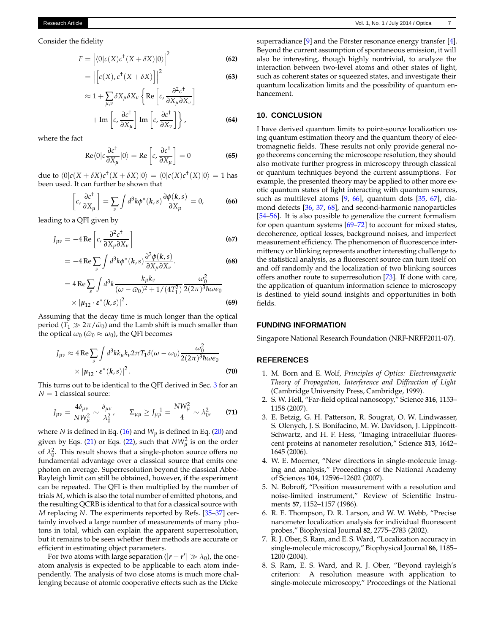Consider the fidelity

$$
F = |\langle 0|c(X)c^{\dagger}(X+\delta X)|0\rangle|^2
$$
 (62)

$$
= \left| \left[ c(X), c^{\dagger}(X + \delta X) \right] \right|^2 \tag{63}
$$

$$
\approx 1 + \sum_{\mu,\nu} \delta X_{\mu} \delta X_{\nu} \left\{ \text{Re} \left[ c, \frac{\partial^2 c^{\dagger}}{\partial X_{\mu} \partial X_{\nu}} \right] + \text{Im} \left[ c, \frac{\partial c^{\dagger}}{\partial X_{\mu}} \right] \text{Im} \left[ c, \frac{\partial c^{\dagger}}{\partial X_{\nu}} \right] \right\},
$$
\n(64)

where the fact

$$
\operatorname{Re}\langle 0 \vert c \frac{\partial c^{\dagger}}{\partial X_{\mu}} \vert 0 \rangle = \operatorname{Re} \left[ c, \frac{\partial c^{\dagger}}{\partial X_{\mu}} \right] = 0 \tag{65}
$$

due to  $\langle 0 | c(X + \delta X) c^{\dagger}(X + \delta X) | 0 \rangle = \langle 0 | c(X) c^{\dagger}(X) | 0 \rangle = 1$  has been used. It can further be shown that

$$
\left[c, \frac{\partial c^{\dagger}}{\partial X_{\mu}}\right] = \sum_{s} \int d^{3}k \phi^{*}(k, s) \frac{\partial \phi(k, s)}{\partial X_{\mu}} = 0, \quad (66)
$$

leading to a QFI given by

$$
J_{\mu\nu} = -4 \operatorname{Re} \left[ c, \frac{\partial^2 c^{\dagger}}{\partial X_{\mu} \partial X_{\nu}} \right]
$$
 (67)

$$
= -4 \operatorname{Re} \sum_{s} \int d^3k \phi^*(k, s) \frac{\partial^2 \phi(k, s)}{\partial X_{\mu} \partial X_{\nu}}.
$$
 (68)

$$
=4\operatorname{Re}\sum_{s}\int d^{3}k \frac{k_{\mu}k_{\nu}}{(\omega-\tilde{\omega}_{0})^{2}+1/(4T_{1}^{2})}\frac{\omega_{0}^{2}}{2(2\pi)^{3}\hbar\omega\epsilon_{0}}\times|\mu_{12}\cdot\epsilon^{*}(k,s)|^{2}.
$$
\n(69)

Assuming that the decay time is much longer than the optical period ( $T_1 \gg 2\pi/\tilde{\omega}_0$ ) and the Lamb shift is much smaller than the optical  $\omega_0$  ( $\tilde{\omega}_0 \approx \omega_0$ ), the QFI becomes

$$
J_{\mu\nu} \approx 4 \operatorname{Re} \sum_{s} \int d^{3}k k_{\mu} k_{\nu} 2\pi T_{1} \delta(\omega - \omega_{0}) \frac{\omega_{0}^{2}}{2(2\pi)^{3} \hbar \omega \epsilon_{0}} \times |\mu_{12} \cdot \varepsilon^{*}(k, s)|^{2}.
$$
 (70)

This turns out to be identical to the QFI derived in Sec. [3](#page-1-2) for an  $N = 1$  classical source:

$$
J_{\mu\nu} = \frac{4\delta_{\mu\nu}}{NW_{\mu}^2} \sim \frac{\delta_{\mu\nu}}{\lambda_0^2}, \qquad \Sigma_{\mu\mu} \ge J_{\mu\mu}^{-1} = \frac{NW_{\mu}^2}{4} \sim \lambda_0^2, \tag{71}
$$

where *N* is defined in Eq. [\(16\)](#page-2-4) and  $W_{\mu}$  is defined in Eq. [\(20\)](#page-2-5) and given by Eqs. [\(21\)](#page-2-1) or Eqs. [\(22\)](#page-2-2), such that  $NW_{\mu}^2$  is on the order of  $\lambda_0^2$ . This result shows that a single-photon source offers no fundamental advantage over a classical source that emits one photon on average. Superresolution beyond the classical Abbe-Rayleigh limit can still be obtained, however, if the experiment can be repeated. The QFI is then multiplied by the number of trials *M*, which is also the total number of emitted photons, and the resulting QCRB is identical to that for a classical source with *M* replacing *N*. The experiments reported by Refs. [\[35](#page-7-24)[–37](#page-7-10)] certainly involved a large number of measurements of many photons in total, which can explain the apparent superresolution, but it remains to be seen whether their methods are accurate or efficient in estimating object parameters.

For two atoms with large separation ( $|r - r'| \gg \lambda_0$ ), the oneatom analysis is expected to be applicable to each atom independently. The analysis of two close atoms is much more challenging because of atomic cooperative effects such as the Dicke

superradiance [\[9](#page-7-0)] and the Förster resonance energy transfer [\[4\]](#page-6-3). Beyond the current assumption of spontaneous emission, it will also be interesting, though highly nontrivial, to analyze the interaction between two-level atoms and other states of light, such as coherent states or squeezed states, and investigate their quantum localization limits and the possibility of quantum enhancement.

#### **10. CONCLUSION**

I have derived quantum limits to point-source localization using quantum estimation theory and the quantum theory of electromagnetic fields. These results not only provide general nogo theorems concerning the microscope resolution, they should also motivate further progress in microscopy through classical or quantum techniques beyond the current assumptions. For example, the presented theory may be applied to other more exotic quantum states of light interacting with quantum sources, such as multilevel atoms [\[9,](#page-7-0) [66](#page-8-13)], quantum dots [\[35,](#page-7-24) [67\]](#page-8-14), diamond defects [\[36](#page-7-25), [37](#page-7-10), [68\]](#page-8-15), and second-harmonic nanoparticles [\[54](#page-8-2)[–56](#page-8-4)]. It is also possible to generalize the current formalism for open quantum systems  $[69–72]$  $[69–72]$  to account for mixed states, decoherence, optical losses, background noises, and imperfect measurement efficiency. The phenomenon of fluorescence intermittency or blinking represents another interesting challenge to the statistical analysis, as a fluorescent source can turn itself on and off randomly and the localization of two blinking sources offers another route to superresolution [\[73\]](#page-8-18). If done with care, the application of quantum information science to microscopy is destined to yield sound insights and opportunities in both fields.

#### **FUNDING INFORMATION**

Singapore National Research Foundation (NRF-NRFF2011-07).

#### **REFERENCES**

- <span id="page-6-0"></span>1. M. Born and E. Wolf, *Principles of Optics: Electromagnetic Theory of Propagation, Interference and Diffraction of Light* (Cambridge University Press, Cambridge, 1999).
- <span id="page-6-1"></span>2. S. W. Hell, "Far-field optical nanoscopy," Science **316**, 1153– 1158 (2007).
- <span id="page-6-2"></span>3. E. Betzig, G. H. Patterson, R. Sougrat, O. W. Lindwasser, S. Olenych, J. S. Bonifacino, M. W. Davidson, J. Lippincott-Schwartz, and H. F. Hess, "Imaging intracellular fluorescent proteins at nanometer resolution," Science **313**, 1642– 1645 (2006).
- <span id="page-6-3"></span>4. W. E. Moerner, "New directions in single-molecule imaging and analysis," Proceedings of the National Academy of Sciences **104**, 12596–12602 (2007).
- <span id="page-6-4"></span>5. N. Bobroff, "Position measurement with a resolution and noise-limited instrument," Review of Scientific Instruments **57**, 1152–1157 (1986).
- 6. R. E. Thompson, D. R. Larson, and W. W. Webb, "Precise nanometer localization analysis for individual fluorescent probes," Biophysical Journal **82**, 2775–2783 (2002).
- <span id="page-6-6"></span>7. R. J. Ober, S. Ram, and E. S. Ward, "Localization accuracy in single-molecule microscopy," Biophysical Journal **86**, 1185– 1200 (2004).
- <span id="page-6-5"></span>8. S. Ram, E. S. Ward, and R. J. Ober, "Beyond rayleigh's criterion: A resolution measure with application to single-molecule microscopy," Proceedings of the National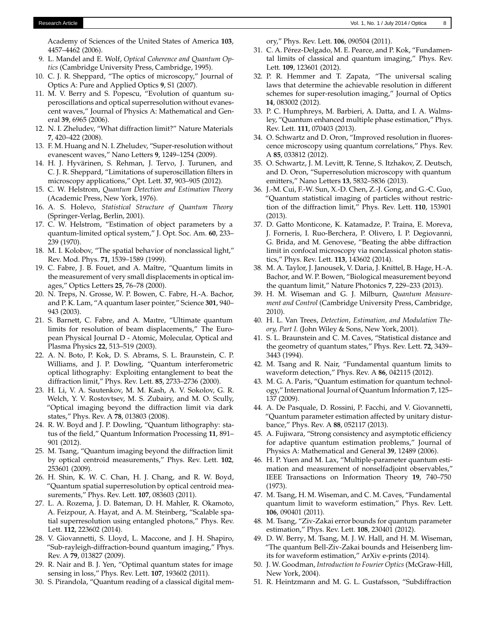Academy of Sciences of the United States of America **103**, 4457–4462 (2006).

- <span id="page-7-0"></span>9. L. Mandel and E. Wolf, *Optical Coherence and Quantum Optics* (Cambridge University Press, Cambridge, 1995).
- <span id="page-7-1"></span>10. C. J. R. Sheppard, "The optics of microscopy," Journal of Optics A: Pure and Applied Optics **9**, S1 (2007).
- <span id="page-7-2"></span>11. M. V. Berry and S. Popescu, "Evolution of quantum superoscillations and optical superresolution without evanescent waves," Journal of Physics A: Mathematical and General **39**, 6965 (2006).
- <span id="page-7-3"></span>12. N. I. Zheludev, "What diffraction limit?" Nature Materials **7**, 420–422 (2008).
- 13. F. M. Huang and N. I. Zheludev, "Super-resolution without evanescent waves," Nano Letters **9**, 1249–1254 (2009).
- <span id="page-7-4"></span>14. H. J. Hyvärinen, S. Rehman, J. Tervo, J. Turunen, and C. J. R. Sheppard, "Limitations of superoscillation filters in microscopy applications," Opt. Lett. **37**, 903–905 (2012).
- <span id="page-7-5"></span>15. C. W. Helstrom, *Quantum Detection and Estimation Theory* (Academic Press, New York, 1976).
- <span id="page-7-6"></span>16. A. S. Holevo, *Statistical Structure of Quantum Theory* (Springer-Verlag, Berlin, 2001).
- <span id="page-7-7"></span>17. C. W. Helstrom, "Estimation of object parameters by a quantum-limited optical system," J. Opt. Soc. Am. **60**, 233– 239 (1970).
- 18. M. I. Kolobov, "The spatial behavior of nonclassical light," Rev. Mod. Phys. **71**, 1539–1589 (1999).
- 19. C. Fabre, J. B. Fouet, and A. Maître, "Quantum limits in the measurement of very small displacements in optical images," Optics Letters **25**, 76–78 (2000).
- 20. N. Treps, N. Grosse, W. P. Bowen, C. Fabre, H.-A. Bachor, and P. K. Lam, "A quantum laser pointer," Science **301**, 940– 943 (2003).
- 21. S. Barnett, C. Fabre, and A. Maıtre, "Ultimate quantum limits for resolution of beam displacements," The European Physical Journal D - Atomic, Molecular, Optical and Plasma Physics **22**, 513–519 (2003).
- 22. A. N. Boto, P. Kok, D. S. Abrams, S. L. Braunstein, C. P. Williams, and J. P. Dowling, "Quantum interferometric optical lithography: Exploiting entanglement to beat the diffraction limit," Phys. Rev. Lett. **85**, 2733–2736 (2000).
- 23. H. Li, V. A. Sautenkov, M. M. Kash, A. V. Sokolov, G. R. Welch, Y. V. Rostovtsev, M. S. Zubairy, and M. O. Scully, "Optical imaging beyond the diffraction limit via dark states," Phys. Rev. A **78**, 013803 (2008).
- 24. R. W. Boyd and J. P. Dowling, "Quantum lithography: status of the field," Quantum Information Processing **11**, 891– 901 (2012).
- <span id="page-7-22"></span>25. M. Tsang, "Quantum imaging beyond the diffraction limit by optical centroid measurements," Phys. Rev. Lett. **102**, 253601 (2009).
- 26. H. Shin, K. W. C. Chan, H. J. Chang, and R. W. Boyd, "Quantum spatial superresolution by optical centroid measurements," Phys. Rev. Lett. **107**, 083603 (2011).
- 27. L. A. Rozema, J. D. Bateman, D. H. Mahler, R. Okamoto, A. Feizpour, A. Hayat, and A. M. Steinberg, "Scalable spatial superresolution using entangled photons," Phys. Rev. Lett. **112**, 223602 (2014).
- 28. V. Giovannetti, S. Lloyd, L. Maccone, and J. H. Shapiro, "Sub-rayleigh-diffraction-bound quantum imaging," Phys. Rev. A **79**, 013827 (2009).
- 29. R. Nair and B. J. Yen, "Optimal quantum states for image sensing in loss," Phys. Rev. Lett. **107**, 193602 (2011).
- 30. S. Pirandola, "Quantum reading of a classical digital mem-

ory," Phys. Rev. Lett. **106**, 090504 (2011).

- 31. C. A. Pérez-Delgado, M. E. Pearce, and P. Kok, "Fundamental limits of classical and quantum imaging," Phys. Rev. Lett. **109**, 123601 (2012).
- 32. P. R. Hemmer and T. Zapata, "The universal scaling laws that determine the achievable resolution in different schemes for super-resolution imaging," Journal of Optics **14**, 083002 (2012).
- 33. P. C. Humphreys, M. Barbieri, A. Datta, and I. A. Walmsley, "Quantum enhanced multiple phase estimation," Phys. Rev. Lett. **111**, 070403 (2013).
- <span id="page-7-9"></span>34. O. Schwartz and D. Oron, "Improved resolution in fluorescence microscopy using quantum correlations," Phys. Rev. A **85**, 033812 (2012).
- <span id="page-7-24"></span>35. O. Schwartz, J. M. Levitt, R. Tenne, S. Itzhakov, Z. Deutsch, and D. Oron, "Superresolution microscopy with quantum emitters," Nano Letters **13**, 5832–5836 (2013).
- <span id="page-7-25"></span>36. J.-M. Cui, F.-W. Sun, X.-D. Chen, Z.-J. Gong, and G.-C. Guo, "Quantum statistical imaging of particles without restriction of the diffraction limit," Phys. Rev. Lett. **110**, 153901 (2013).
- <span id="page-7-10"></span>37. D. Gatto Monticone, K. Katamadze, P. Traina, E. Moreva, J. Forneris, I. Ruo-Berchera, P. Olivero, I. P. Degiovanni, G. Brida, and M. Genovese, "Beating the abbe diffraction limit in confocal microscopy via nonclassical photon statistics," Phys. Rev. Lett. **113**, 143602 (2014).
- <span id="page-7-8"></span>38. M. A. Taylor, J. Janousek, V. Daria, J. Knittel, B. Hage, H.-A. Bachor, and W. P. Bowen, "Biological measurement beyond the quantum limit," Nature Photonics **7**, 229–233 (2013).
- <span id="page-7-11"></span>39. H. M. Wiseman and G. J. Milburn, *Quantum Measurement and Control* (Cambridge University Press, Cambridge, 2010).
- <span id="page-7-12"></span>40. H. L. Van Trees, *Detection, Estimation, and Modulation Theory, Part I.* (John Wiley & Sons, New York, 2001).
- <span id="page-7-13"></span>41. S. L. Braunstein and C. M. Caves, "Statistical distance and the geometry of quantum states," Phys. Rev. Lett. **72**, 3439– 3443 (1994).
- <span id="page-7-14"></span>42. M. Tsang and R. Nair, "Fundamental quantum limits to waveform detection," Phys. Rev. A **86**, 042115 (2012).
- <span id="page-7-15"></span>43. M. G. A. Paris, "Quantum estimation for quantum technology," International Journal of Quantum Information **7**, 125– 137 (2009).
- <span id="page-7-16"></span>44. A. De Pasquale, D. Rossini, P. Facchi, and V. Giovannetti, "Quantum parameter estimation affected by unitary disturbance," Phys. Rev. A **88**, 052117 (2013).
- <span id="page-7-17"></span>45. A. Fujiwara, "Strong consistency and asymptotic efficiency for adaptive quantum estimation problems," Journal of Physics A: Mathematical and General **39**, 12489 (2006).
- <span id="page-7-18"></span>46. H. P. Yuen and M. Lax, "Multiple-parameter quantum estimation and measurement of nonselfadjoint observables," IEEE Transactions on Information Theory **19**, 740–750 (1973).
- <span id="page-7-23"></span>47. M. Tsang, H. M. Wiseman, and C. M. Caves, "Fundamental quantum limit to waveform estimation," Phys. Rev. Lett. **106**, 090401 (2011).
- 48. M. Tsang, "Ziv-Zakai error bounds for quantum parameter estimation," Phys. Rev. Lett. **108**, 230401 (2012).
- <span id="page-7-19"></span>49. D. W. Berry, M. Tsang, M. J. W. Hall, and H. M. Wiseman, "The quantum Bell-Ziv-Zakai bounds and Heisenberg limits for waveform estimation," ArXiv e-prints (2014).
- <span id="page-7-20"></span>50. J. W. Goodman, *Introduction to Fourier Optics* (McGraw-Hill, New York, 2004).
- <span id="page-7-21"></span>51. R. Heintzmann and M. G. L. Gustafsson, "Subdiffraction